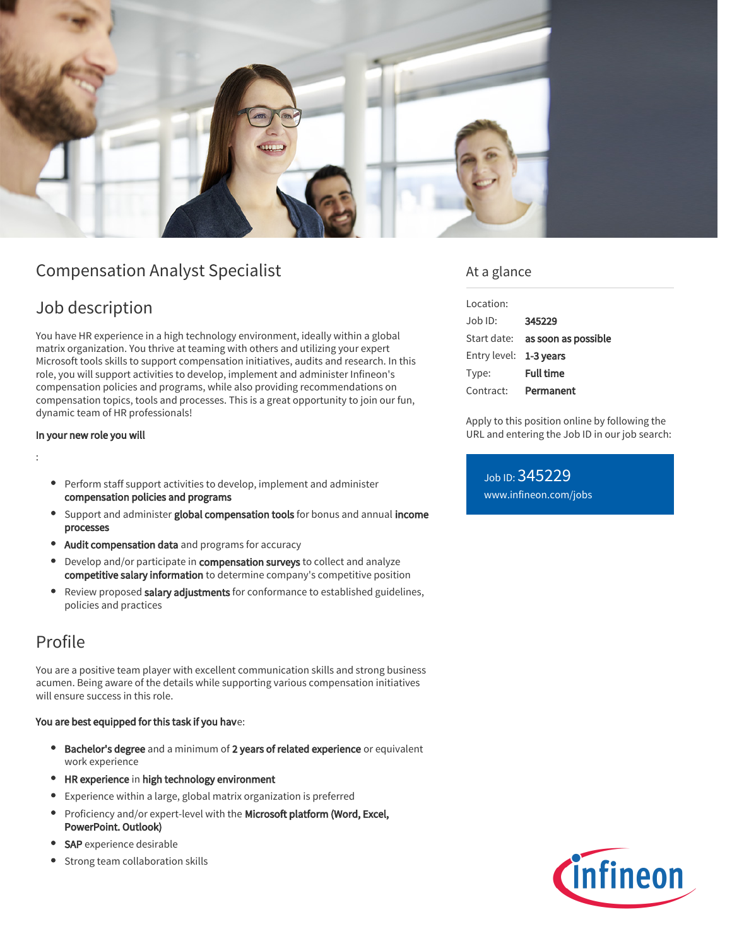

# Compensation Analyst Specialist

## Job description

You have HR experience in a high technology environment, ideally within a global matrix organization. You thrive at teaming with others and utilizing your expert Microsoft tools skills to support compensation initiatives, audits and research. In this role, you will support activities to develop, implement and administer Infineon's compensation policies and programs, while also providing recommendations on compensation topics, tools and processes. This is a great opportunity to join our fun, dynamic team of HR professionals!

#### In your new role you will

:

- Perform staff support activities to develop, implement and administer compensation policies and programs
- Support and administer global compensation tools for bonus and annual income processes
- Audit compensation data and programs for accuracy
- Develop and/or participate in compensation surveys to collect and analyze competitive salary information to determine company's competitive position
- Review proposed salary adjustments for conformance to established guidelines,  $\bullet$ policies and practices

## Profile

You are a positive team player with excellent communication skills and strong business acumen. Being aware of the details while supporting various compensation initiatives will ensure success in this role.

#### You are best equipped for this task if you have:

- **Bachelor's degree** and a minimum of 2 years of related experience or equivalent work experience
- HR experience in high technology environment
- Experience within a large, global matrix organization is preferred
- Proficiency and/or expert-level with the Microsoft platform (Word, Excel, PowerPoint. Outlook)
- SAP experience desirable
- Strong team collaboration skills

### At a glance

| Location:              |                                        |
|------------------------|----------------------------------------|
| Job ID:                | 345229                                 |
|                        | Start date: <b>as soon as possible</b> |
| Entry level: 1-3 years |                                        |
| Type:                  | <b>Full time</b>                       |
| Contract:              | Permanent                              |

Apply to this position online by following the URL and entering the Job ID in our job search:

Job ID: 345229 [www.infineon.com/jobs](https://www.infineon.com/jobs)